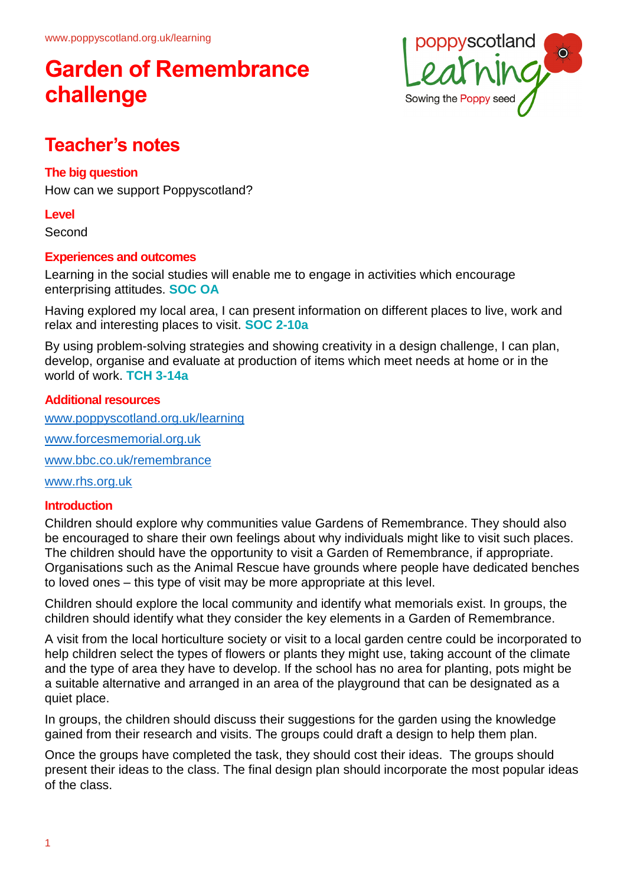

### **Teacher's notes**

### **The big question**

How can we support Poppyscotland?

#### **Level**

Second

### **Experiences and outcomes**

Learning in the social studies will enable me to engage in activities which encourage enterprising attitudes. **SOC OA**

Having explored my local area, I can present information on different places to live, work and relax and interesting places to visit. **SOC 2-10a**

By using problem-solving strategies and showing creativity in a design challenge, I can plan, develop, organise and evaluate at production of items which meet needs at home or in the world of work. **TCH 3-14a**

### **Additional resources**

[www.poppyscotland.org.uk/learning](http://www.poppyscotland.org.uk/learning)

[www.forcesmemorial.org.uk](http://www.forcesmemorial.org.uk/)

[www.bbc.co.uk/remembrance](http://www.bbc.co.uk/remembrance)

[www.rhs.org.uk](http://www.rhs.org.uk/)

#### **Introduction**

Children should explore why communities value Gardens of Remembrance. They should also be encouraged to share their own feelings about why individuals might like to visit such places. The children should have the opportunity to visit a Garden of Remembrance, if appropriate. Organisations such as the Animal Rescue have grounds where people have dedicated benches to loved ones – this type of visit may be more appropriate at this level.

Children should explore the local community and identify what memorials exist. In groups, the children should identify what they consider the key elements in a Garden of Remembrance.

A visit from the local horticulture society or visit to a local garden centre could be incorporated to help children select the types of flowers or plants they might use, taking account of the climate and the type of area they have to develop. If the school has no area for planting, pots might be a suitable alternative and arranged in an area of the playground that can be designated as a quiet place.

In groups, the children should discuss their suggestions for the garden using the knowledge gained from their research and visits. The groups could draft a design to help them plan.

Once the groups have completed the task, they should cost their ideas. The groups should present their ideas to the class. The final design plan should incorporate the most popular ideas of the class.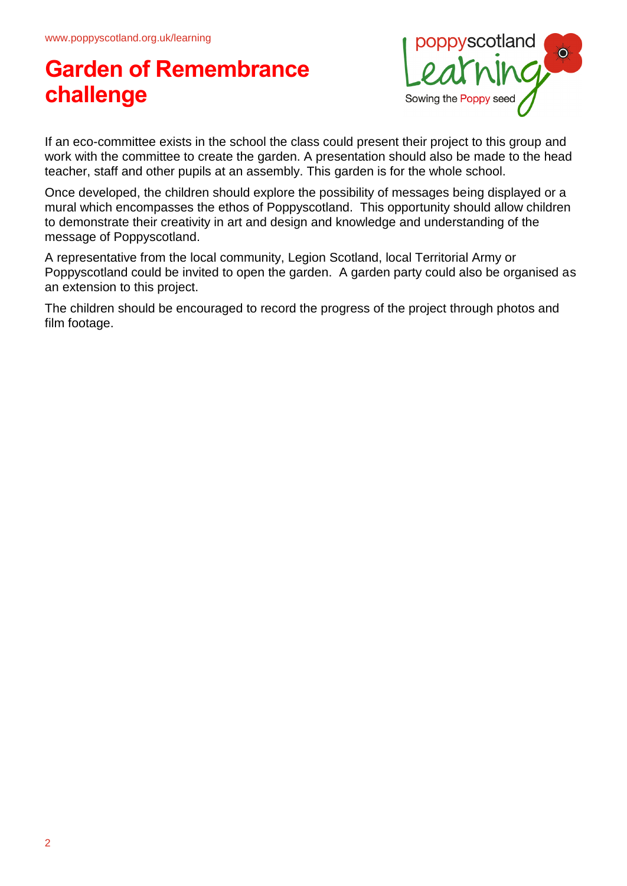

If an eco-committee exists in the school the class could present their project to this group and work with the committee to create the garden. A presentation should also be made to the head teacher, staff and other pupils at an assembly. This garden is for the whole school.

Once developed, the children should explore the possibility of messages being displayed or a mural which encompasses the ethos of Poppyscotland. This opportunity should allow children to demonstrate their creativity in art and design and knowledge and understanding of the message of Poppyscotland.

A representative from the local community, Legion Scotland, local Territorial Army or Poppyscotland could be invited to open the garden. A garden party could also be organised as an extension to this project.

The children should be encouraged to record the progress of the project through photos and film footage.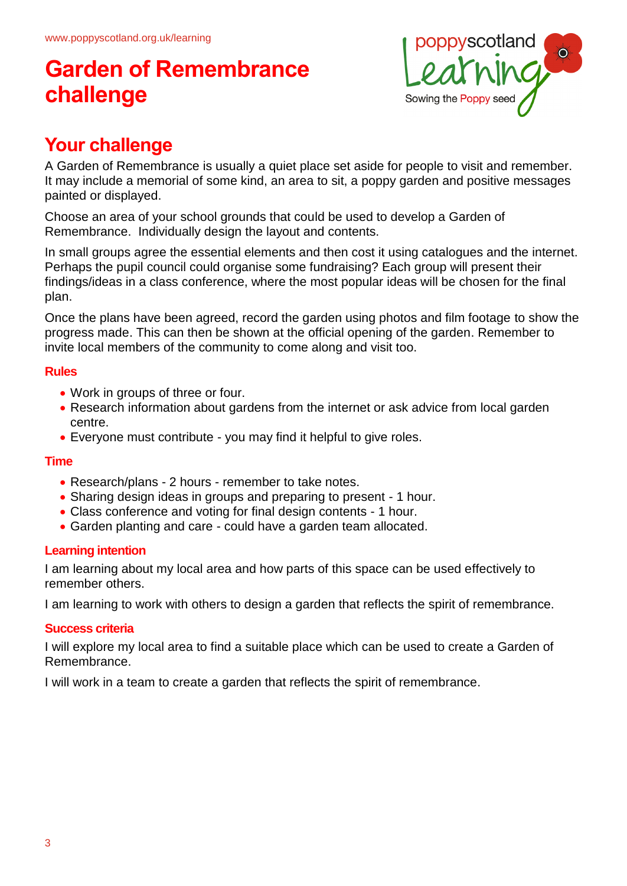

### **Your challenge**

A Garden of Remembrance is usually a quiet place set aside for people to visit and remember. It may include a memorial of some kind, an area to sit, a poppy garden and positive messages painted or displayed.

Choose an area of your school grounds that could be used to develop a Garden of Remembrance. Individually design the layout and contents.

In small groups agree the essential elements and then cost it using catalogues and the internet. Perhaps the pupil council could organise some fundraising? Each group will present their findings/ideas in a class conference, where the most popular ideas will be chosen for the final plan.

Once the plans have been agreed, record the garden using photos and film footage to show the progress made. This can then be shown at the official opening of the garden. Remember to invite local members of the community to come along and visit too.

### **Rules**

- Work in groups of three or four.
- Research information about gardens from the internet or ask advice from local garden centre.
- Everyone must contribute you may find it helpful to give roles.

### **Time**

- Research/plans 2 hours remember to take notes.
- Sharing design ideas in groups and preparing to present 1 hour.
- Class conference and voting for final design contents 1 hour.
- Garden planting and care could have a garden team allocated.

### **Learning intention**

I am learning about my local area and how parts of this space can be used effectively to remember others.

I am learning to work with others to design a garden that reflects the spirit of remembrance.

#### **Success criteria**

I will explore my local area to find a suitable place which can be used to create a Garden of Remembrance.

I will work in a team to create a garden that reflects the spirit of remembrance.